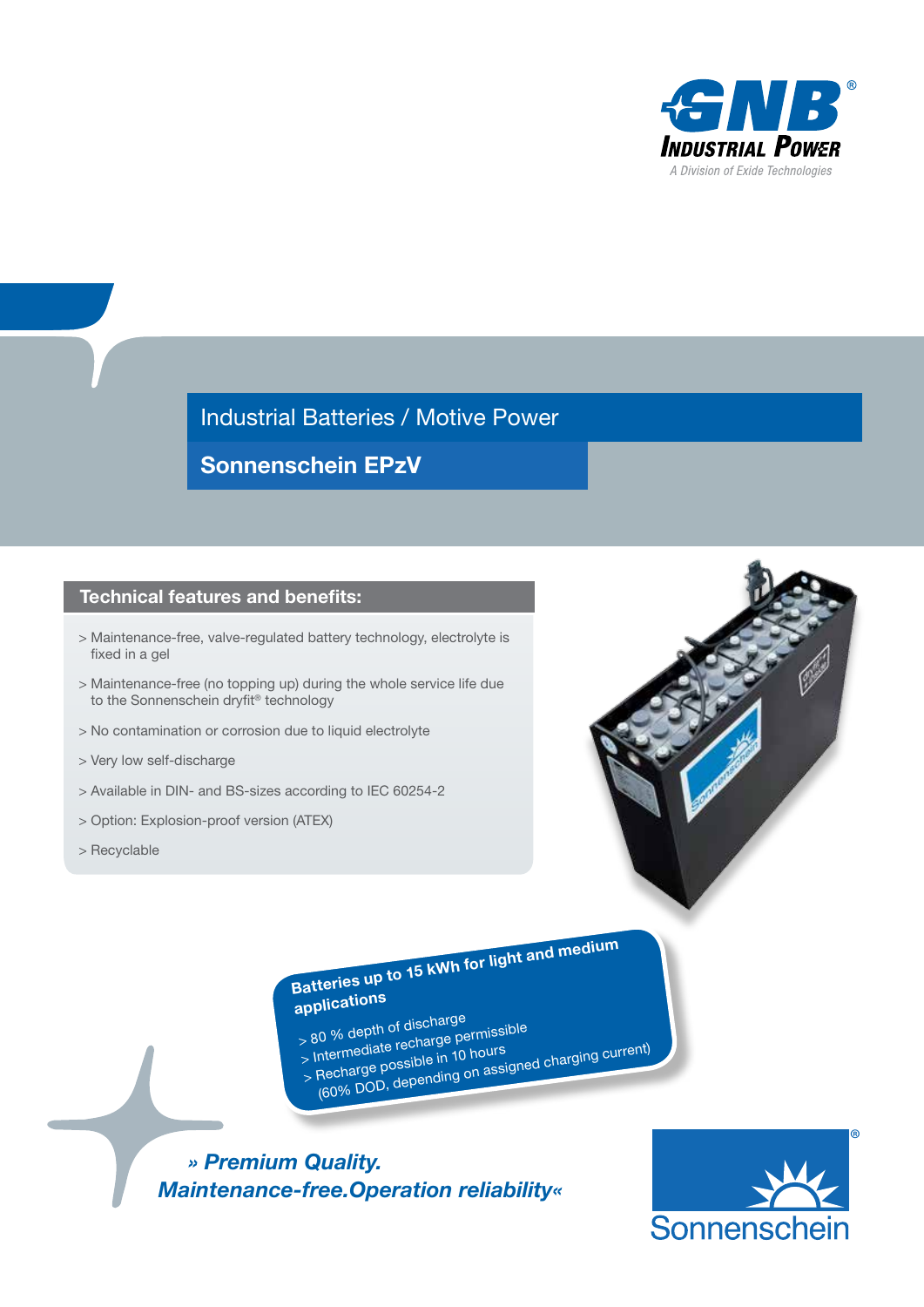

Industrial Batteries / Motive Power

Sonnenschein EPzV

### Technical features and benefits:

- > Maintenance-free, valve-regulated battery technology, electrolyte is fixed in a gel
- > Maintenance-free (no topping up) during the whole service life due to the Sonnenschein dryfit® technology
- > No contamination or corrosion due to liquid electrolyte
- > Very low self-discharge
- > Available in DIN- and BS-sizes according to IEC 60254-2
- > Option: Explosion-proof version (ATEX)
- > Recyclable



Batteries up to 15 kWh for light and medium applications

- 
- > 80 % depth of discharg<sup>e</sup>
- > Intermediate recharge permissible > Recharge possible in 10 hours (60% DOD, depending on assigned charging current)
- -

 *» Premium Quality. Maintenance-free.Operation reliability«*